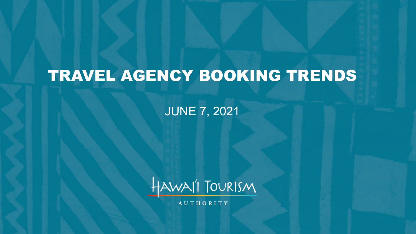# TRAVEL AGENCY BOOKING TRENDS

#### JUNE 7, 2021



**AUTHORITY**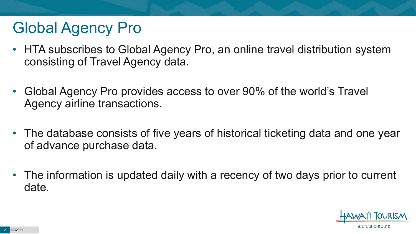# Global Agency Pro

- HTA subscribes to Global Agency Pro, an online travel distribution system consisting of Travel Agency data.
- Global Agency Pro provides access to over 90% of the world's Travel Agency airline transactions.
- The database consists of five years of historical ticketing data and one year of advance purchase data.
- The information is updated daily with a recency of two days prior to current date.

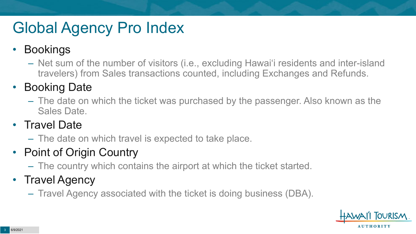# Global Agency Pro Index

#### • Bookings

– Net sum of the number of visitors (i.e., excluding Hawai'i residents and inter-island travelers) from Sales transactions counted, including Exchanges and Refunds.

#### • Booking Date

– The date on which the ticket was purchased by the passenger. Also known as the Sales Date.

#### • Travel Date

– The date on which travel is expected to take place.

#### • Point of Origin Country

– The country which contains the airport at which the ticket started.

#### • Travel Agency

– Travel Agency associated with the ticket is doing business (DBA).

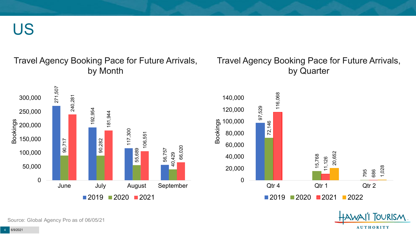US

#### Travel Agency Booking Pace for Future Arrivals, by Month

#### Travel Agency Booking Pace for Future Arrivals, by Quarter





OURISM.

**AUTHORITY** 

Source: Global Agency Pro as of 06/05/21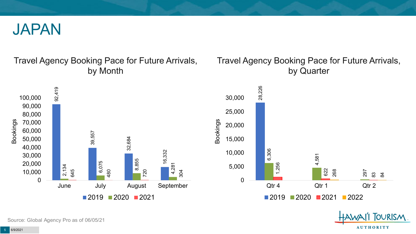

#### Travel Agency Booking Pace for Future Arrivals, by Month



#### Travel Agency Booking Pace for Future Arrivals, by Quarter



**OURISM** 

**AUTHORITY** 

Source: Global Agency Pro as of 06/05/21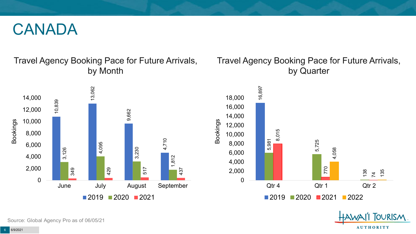#### CANADA

Travel Agency Booking Pace for Future Arrivals, by Month



#### Travel Agency Booking Pace for Future Arrivals, by Quarter



**FOURISM** 

**AUTHORITY** 

Source: Global Agency Pro as of 06/05/21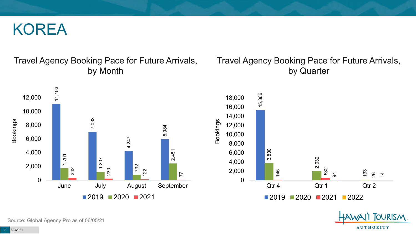#### KOREA

#### Travel Agency Booking Pace for Future Arrivals, by Month

#### Travel Agency Booking Pace for Future Arrivals, by Quarter





**OURISM** 

**AUTHORITY** 

Source: Global Agency Pro as of 06/05/21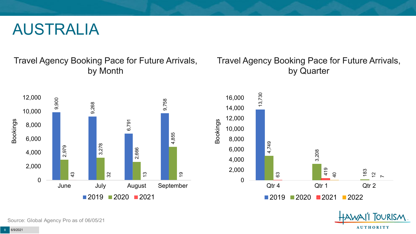#### AUSTRALIA

Travel Agency Booking Pace for Future Arrivals, by Month



#### Travel Agency Booking Pace for Future Arrivals, by Quarter



OURISM.

**AUTHORITY** 

Source: Global Agency Pro as of 06/05/21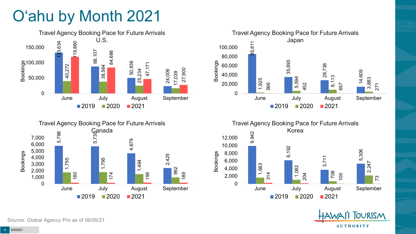# O'ahu by Month 2021











Source: Global Agency Pro as of 06/05/21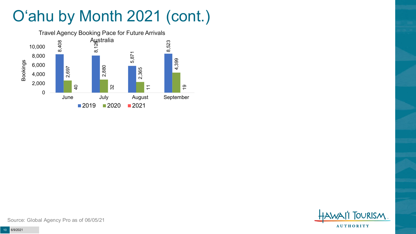# O'ahu by Month 2021 (cont.)



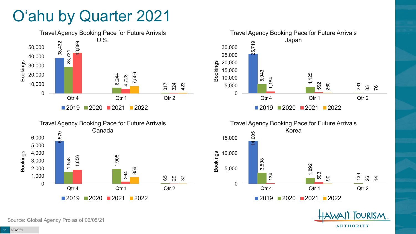### O'ahu by Quarter 2021









**TOURISM** 

**AUTHORITY** 

Source: Global Agency Pro as of 06/05/21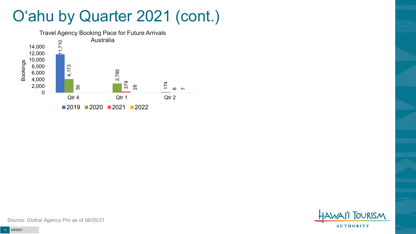### O'ahu by Quarter 2021 (cont.)



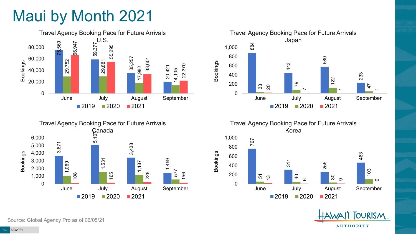# Maui by Month 2021







Travel Agency Booking Pace for Future Arrivals Korea

Bookings



TOURISM. **AUTHORITY** 

Source: Global Agency Pro as of 06/05/21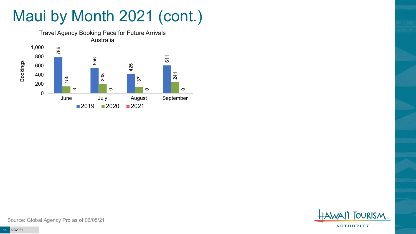# Maui by Month 2021 (cont.)



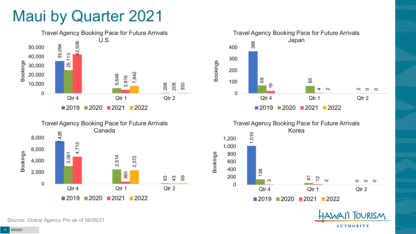### Maui by Quarter 2021









**OURISM** 

**AUTHORITY** 

Source: Global Agency Pro as of 06/05/21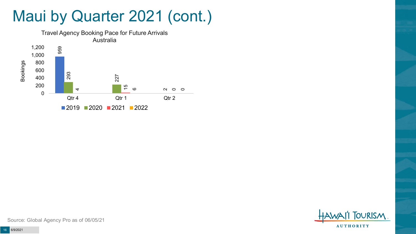### Maui by Quarter 2021 (cont.)



**OURISM AUTHORITY**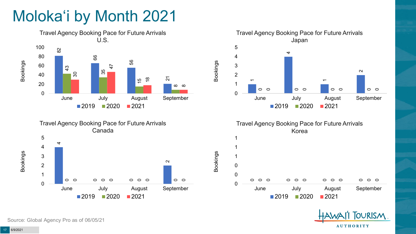# Moloka'i by Month 2021









Bookings



Source: Global Agency Pro as of 06/05/21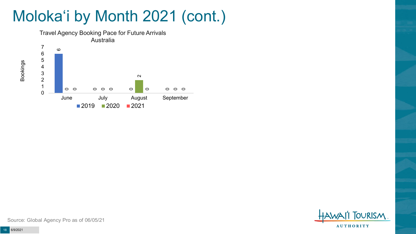# Moloka'i by Month 2021 (cont.)



**FOURISM AUTHORITY** 

Source: Global Agency Pro as of 06/05/21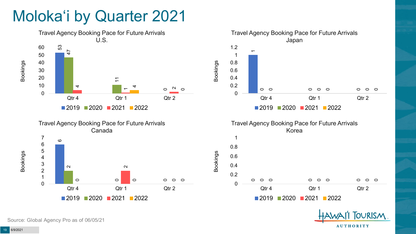### Moloka'i by Quarter 2021







2020 2021 2022

Qtr 4 Qtr 1 Qtr 2

 $\Omega$  $\circ$ 

 $\circ$ 

0.2

0.4

0

Source: Global Agency Pro as of 06/05/21

Bookings

**AUTHORITY** 

 $\Omega$ 

0

**OURISM**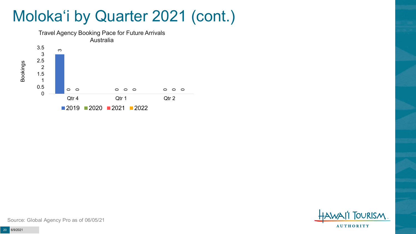### Moloka'i by Quarter 2021 (cont.)





Source: Global Agency Pro as of 06/05/21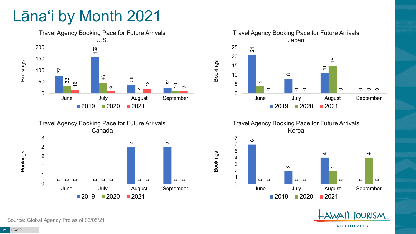# Lāna'i by Month 2021





Travel Agency Booking Pace for Future Arrivals Japan  $\overline{2}$  $\infty$  $\tilde{\mathcal{L}}$  

 $\circ$ 

 $\circ$ 

2020 2021

June July August September

 $\circ$ 

Bookings

Bookings

Travel Agency Booking Pace for Future Arrivals Korea





 $\circ$ 

0

 $\circ$ 

Source: Global Agency Pro as of 06/05/21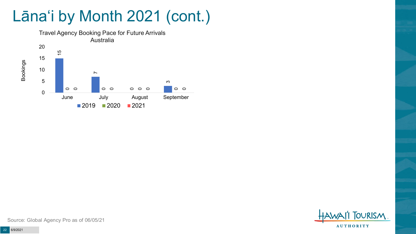## Lāna'i by Month 2021 (cont.)



**OURISM AUTHORITY**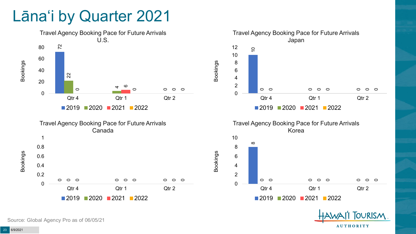### Lāna'i by Quarter 2021



Source: Global Agency Pro as of 06/05/21

**AUTHORITY** 

**OURISM**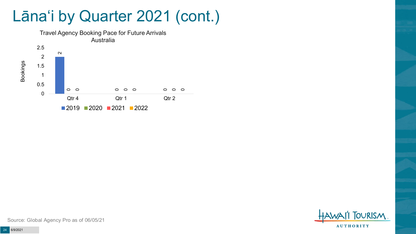### Lāna'i by Quarter 2021 (cont.)





Source: Global Agency Pro as of 06/05/21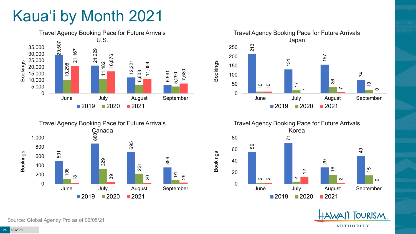# Kaua'i by Month 2021











Source: Global Agency Pro as of 06/05/21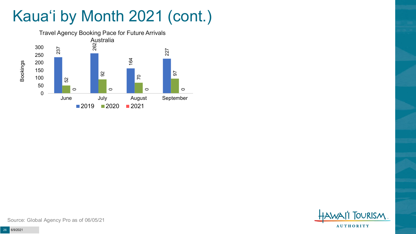# Kaua'i by Month 2021 (cont.)



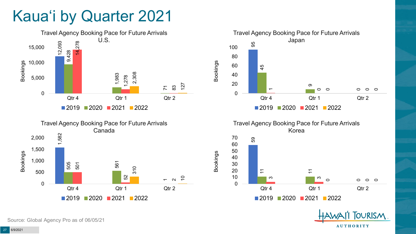## Kaua'i by Quarter 2021





Travel Agency Booking Pace for Future Arrivals Japan 95 45 თ  $\overline{\phantom{a}}$  $\circ$  $\circ$  $\circ$  $\circ$  $\circ$ 0 20 40 60 80 100 Qtr 4 Qtr 1 Qtr 2 Bookings ■2019 2020 2021 2022



Bookings



**OURISM** 

**AUTHORITY** 

Source: Global Agency Pro as of 06/05/21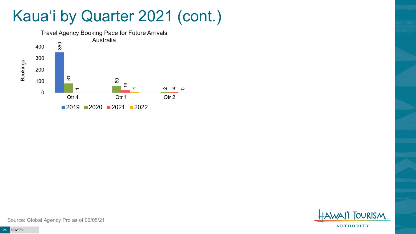### Kaua'i by Quarter 2021 (cont.)



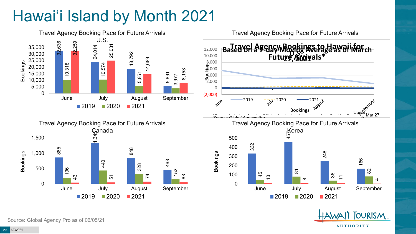# Hawai'i Island by Month 2021



Source: Global Agency Pro as of 06/05/21

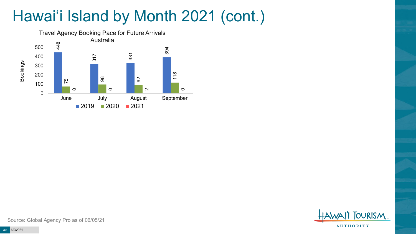# Hawai'i Island by Month 2021 (cont.)



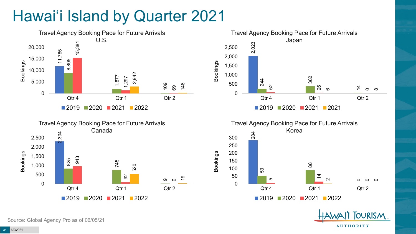# Hawai'i Island by Quarter 2021









**OURISM** 

**AUTHORITY** 

Source: Global Agency Pro as of 06/05/21